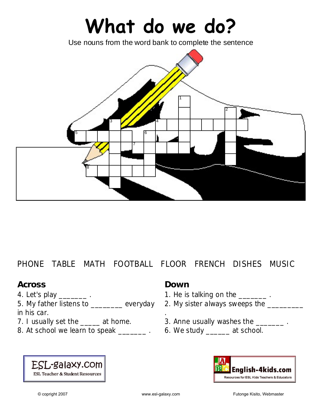# **What do we do?**

Use nouns from the word bank to complete the sentence



## PHONE TABLE MATH FOOTBALL FLOOR FRENCH DISHES MUSIC

### **Across**

4. Let's play \_\_\_\_\_\_\_\_.

5. My father listens to \_\_\_\_\_\_\_ everyday in his car.

- 7. I usually set the \_\_\_\_\_ at home.
- 8. At school we learn to speak \_\_\_\_\_\_\_\_. 6. We study \_\_\_\_\_\_ at school.



.

- 1. He is talking on the \_\_\_\_\_\_\_\_.
- 2. My sister always sweeps the \_\_\_\_\_\_\_\_\_
- 3. Anne usually washes the \_\_\_\_\_\_\_\_.
-